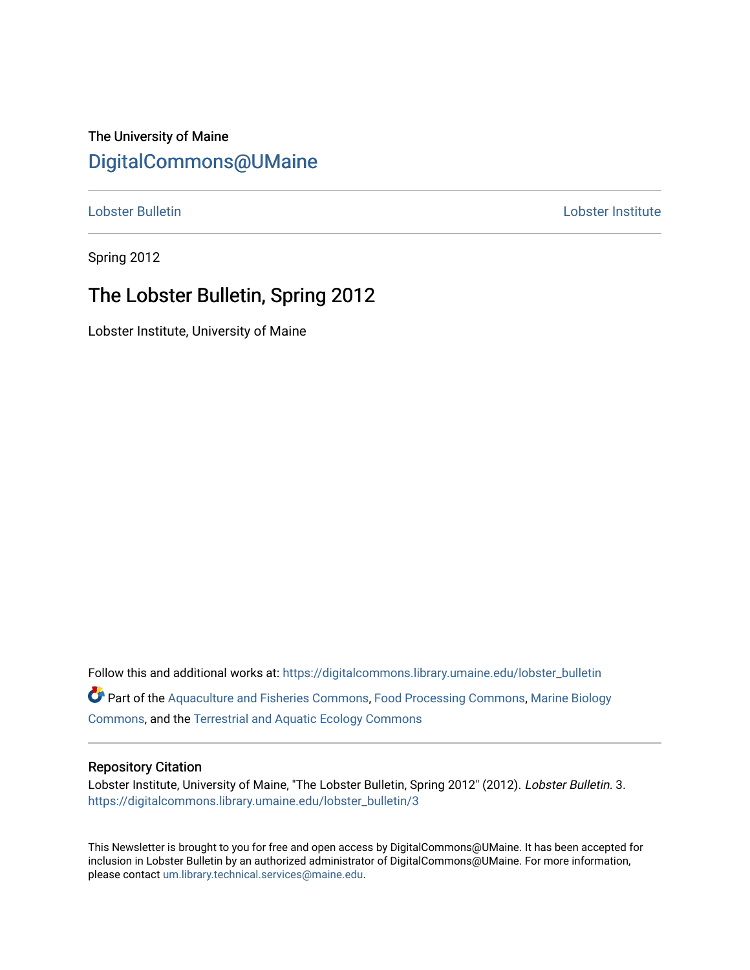### The University of Maine [DigitalCommons@UMaine](https://digitalcommons.library.umaine.edu/)

[Lobster Bulletin](https://digitalcommons.library.umaine.edu/lobster_bulletin) [Lobster Institute](https://digitalcommons.library.umaine.edu/lobster) 

Spring 2012

# The Lobster Bulletin, Spring 2012

Lobster Institute, University of Maine

Follow this and additional works at: [https://digitalcommons.library.umaine.edu/lobster\\_bulletin](https://digitalcommons.library.umaine.edu/lobster_bulletin?utm_source=digitalcommons.library.umaine.edu%2Flobster_bulletin%2F3&utm_medium=PDF&utm_campaign=PDFCoverPages) Part of the [Aquaculture and Fisheries Commons](http://network.bepress.com/hgg/discipline/78?utm_source=digitalcommons.library.umaine.edu%2Flobster_bulletin%2F3&utm_medium=PDF&utm_campaign=PDFCoverPages), [Food Processing Commons,](http://network.bepress.com/hgg/discipline/85?utm_source=digitalcommons.library.umaine.edu%2Flobster_bulletin%2F3&utm_medium=PDF&utm_campaign=PDFCoverPages) [Marine Biology](http://network.bepress.com/hgg/discipline/1126?utm_source=digitalcommons.library.umaine.edu%2Flobster_bulletin%2F3&utm_medium=PDF&utm_campaign=PDFCoverPages) [Commons](http://network.bepress.com/hgg/discipline/1126?utm_source=digitalcommons.library.umaine.edu%2Flobster_bulletin%2F3&utm_medium=PDF&utm_campaign=PDFCoverPages), and the [Terrestrial and Aquatic Ecology Commons](http://network.bepress.com/hgg/discipline/20?utm_source=digitalcommons.library.umaine.edu%2Flobster_bulletin%2F3&utm_medium=PDF&utm_campaign=PDFCoverPages) 

#### Repository Citation

Lobster Institute, University of Maine, "The Lobster Bulletin, Spring 2012" (2012). Lobster Bulletin. 3. [https://digitalcommons.library.umaine.edu/lobster\\_bulletin/3](https://digitalcommons.library.umaine.edu/lobster_bulletin/3?utm_source=digitalcommons.library.umaine.edu%2Flobster_bulletin%2F3&utm_medium=PDF&utm_campaign=PDFCoverPages)

This Newsletter is brought to you for free and open access by DigitalCommons@UMaine. It has been accepted for inclusion in Lobster Bulletin by an authorized administrator of DigitalCommons@UMaine. For more information, please contact [um.library.technical.services@maine.edu.](mailto:um.library.technical.services@maine.edu)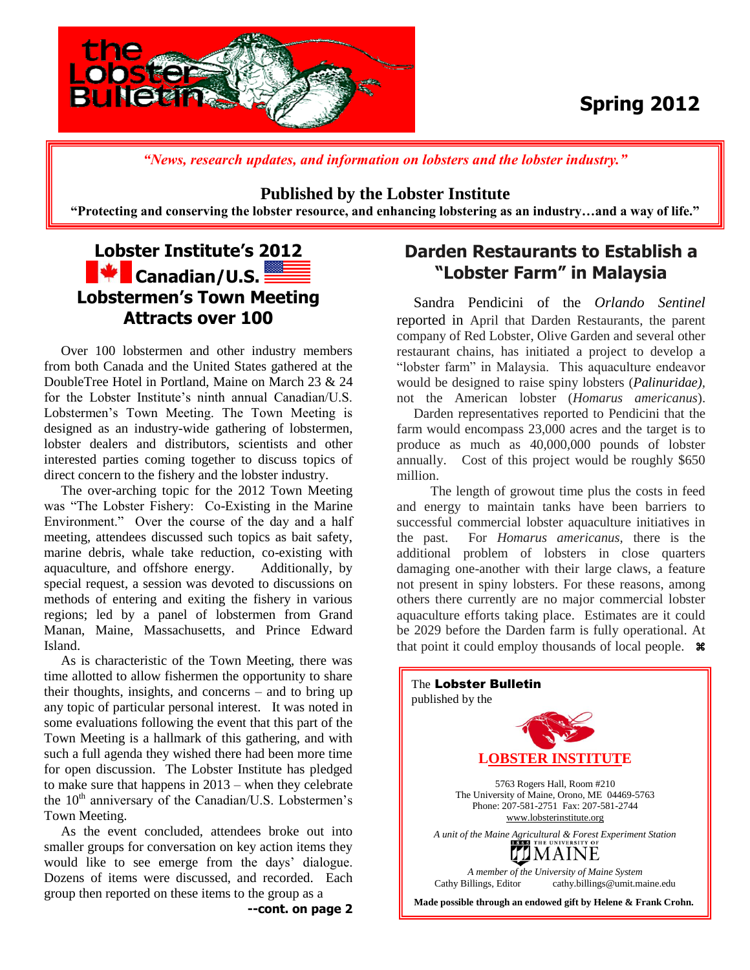

# **Spring 2012**

*"News, research updates, and information on lobsters and the lobster industry."*

#### **Published by the Lobster Institute**

**"Protecting and conserving the lobster resource, and enhancing lobstering as an industry…and a way of life."**

## **Lobster Institute's 2012 K** Canadian/U.S. **Lobstermen's Town Meeting Attracts over 100**

 Over 100 lobstermen and other industry members from both Canada and the United States gathered at the DoubleTree Hotel in Portland, Maine on March 23 & 24 for the Lobster Institute's ninth annual Canadian/U.S. Lobstermen's Town Meeting. The Town Meeting is designed as an industry-wide gathering of lobstermen, lobster dealers and distributors, scientists and other interested parties coming together to discuss topics of direct concern to the fishery and the lobster industry.

 The over-arching topic for the 2012 Town Meeting was "The Lobster Fishery: Co-Existing in the Marine Environment." Over the course of the day and a half meeting, attendees discussed such topics as bait safety, marine debris, whale take reduction, co-existing with aquaculture, and offshore energy. Additionally, by special request, a session was devoted to discussions on methods of entering and exiting the fishery in various regions; led by a panel of lobstermen from Grand Manan, Maine, Massachusetts, and Prince Edward Island.

 As is characteristic of the Town Meeting, there was time allotted to allow fishermen the opportunity to share their thoughts, insights, and concerns – and to bring up any topic of particular personal interest. It was noted in some evaluations following the event that this part of the Town Meeting is a hallmark of this gathering, and with such a full agenda they wished there had been more time for open discussion. The Lobster Institute has pledged to make sure that happens in 2013 – when they celebrate the  $10<sup>th</sup>$  anniversary of the Canadian/U.S. Lobstermen's Town Meeting.

 As the event concluded, attendees broke out into smaller groups for conversation on key action items they would like to see emerge from the days' dialogue. Dozens of items were discussed, and recorded. Each group then reported on these items to the group as a

### **Darden Restaurants to Establish a "Lobster Farm" in Malaysia**

 Sandra Pendicini of the *Orlando Sentinel* reported in April that Darden Restaurants, the parent company of Red Lobster, Olive Garden and several other restaurant chains, has initiated a project to develop a "lobster farm" in Malaysia. This aquaculture endeavor would be designed to raise spiny lobsters (*Palinuridae),* not the American lobster (*Homarus americanus*).

 Darden representatives reported to Pendicini that the farm would encompass 23,000 acres and the target is to produce as much as 40,000,000 pounds of lobster annually. Cost of this project would be roughly \$650 million.

 The length of growout time plus the costs in feed and energy to maintain tanks have been barriers to successful commercial lobster aquaculture initiatives in the past. For *Homarus americanus,* there is the additional problem of lobsters in close quarters damaging one-another with their large claws, a feature not present in spiny lobsters. For these reasons, among others there currently are no major commercial lobster aquaculture efforts taking place. Estimates are it could be 2029 before the Darden farm is fully operational. At that point it could employ thousands of local people.  $\ast$ 



**<sup>--</sup>cont. on page 2**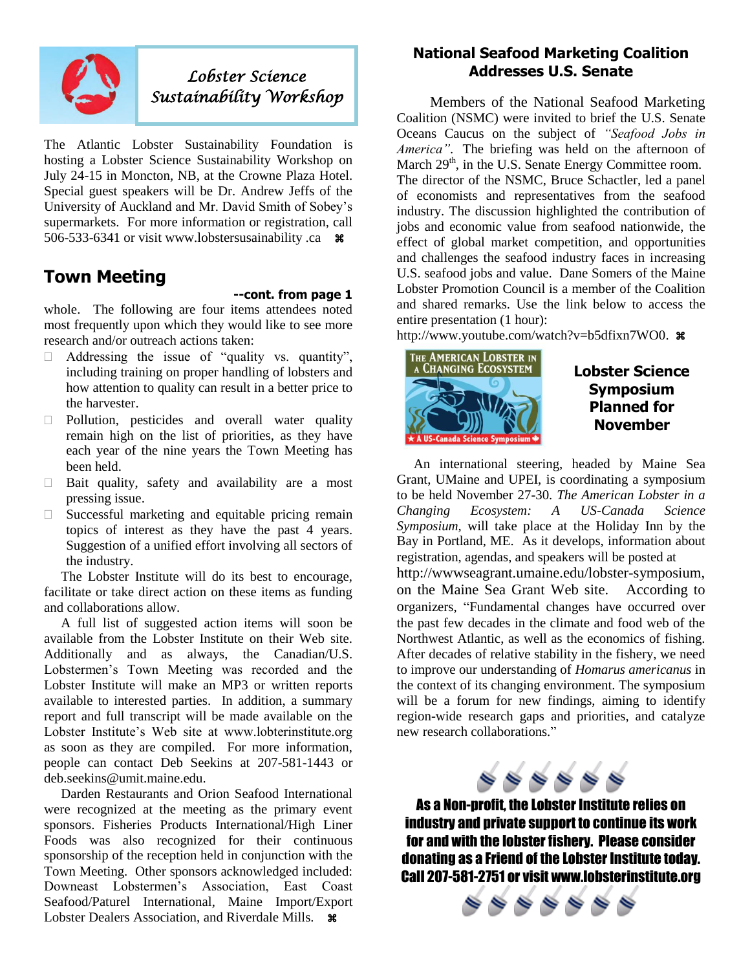

## *Lobster Science Sustainability Workshop*

The Atlantic Lobster Sustainability Foundation is hosting a Lobster Science Sustainability Workshop on July 24-15 in Moncton, NB, at the Crowne Plaza Hotel. Special guest speakers will be Dr. Andrew Jeffs of the University of Auckland and Mr. David Smith of Sobey's supermarkets. For more information or registration, call 506-533-6341 or visit www.lobstersusainability .ca  $\text{ }$  \*

### **Town Meeting**

#### **--cont. from page 1**

whole. The following are four items attendees noted most frequently upon which they would like to see more research and/or outreach actions taken:

- $\Box$  Addressing the issue of "quality vs. quantity", including training on proper handling of lobsters and how attention to quality can result in a better price to the harvester.
- $\Box$  Pollution, pesticides and overall water quality remain high on the list of priorities, as they have each year of the nine years the Town Meeting has been held.
- $\Box$  Bait quality, safety and availability are a most pressing issue.
- $\Box$  Successful marketing and equitable pricing remain topics of interest as they have the past 4 years. Suggestion of a unified effort involving all sectors of the industry.

 The Lobster Institute will do its best to encourage, facilitate or take direct action on these items as funding and collaborations allow.

 A full list of suggested action items will soon be available from the Lobster Institute on their Web site. Additionally and as always, the Canadian/U.S. Lobstermen's Town Meeting was recorded and the Lobster Institute will make an MP3 or written reports available to interested parties. In addition, a summary report and full transcript will be made available on the Lobster Institute's Web site at www.lobterinstitute.org as soon as they are compiled. For more information, people can contact Deb Seekins at 207-581-1443 or deb.seekins@umit.maine.edu.

 Darden Restaurants and Orion Seafood International were recognized at the meeting as the primary event sponsors. Fisheries Products International/High Liner Foods was also recognized for their continuous sponsorship of the reception held in conjunction with the Town Meeting. Other sponsors acknowledged included: Downeast Lobstermen's Association, East Coast Seafood/Paturel International, Maine Import/Export Lobster Dealers Association, and Riverdale Mills.  $\mathcal{H}$ 

#### **National Seafood Marketing Coalition Addresses U.S. Senate**

 Members of the National Seafood Marketing Coalition (NSMC) were invited to brief the U.S. Senate Oceans Caucus on the subject of *"Seafood Jobs in America"*. The briefing was held on the afternoon of March  $29<sup>th</sup>$ , in the U.S. Senate Energy Committee room. The director of the NSMC, Bruce Schactler, led a panel of economists and representatives from the seafood industry. The discussion highlighted the contribution of jobs and economic value from seafood nationwide, the effect of global market competition, and opportunities and challenges the seafood industry faces in increasing U.S. seafood jobs and value. Dane Somers of the Maine Lobster Promotion Council is a member of the Coalition and shared remarks. Use the link below to access the entire presentation (1 hour):

[http://www.youtube.com/watch?v=b5dfixn7WO0.](http://www.youtube.com/watch?v=b5dfixn7WO0)  $\ast$ 



**Lobster Science Symposium Planned for November**

 An international steering, headed by Maine Sea Grant, UMaine and UPEI, is coordinating a symposium to be held November 27-30. *The American Lobster in a Changing Ecosystem: A US-Canada Science Symposium,* will take place at the Holiday Inn by the Bay in Portland, ME. As it develops, information about registration, agendas, and speakers will be posted at http://wwwseagrant.umaine.edu/lobster-symposium, on the Maine Sea Grant Web site. According to organizers, "Fundamental changes have occurred over the past few decades in the climate and food web of the Northwest Atlantic, as well as the economics of fishing. After decades of relative stability in the fishery, we need to improve our understanding of *Homarus americanus* in the context of its changing environment. The symposium will be a forum for new findings, aiming to identify region-wide research gaps and priorities, and catalyze new research collaborations."



As a Non-profit, the Lobster Institute relies on industry and private support to continue its work for and with the lobster fishery. Please consider donating as a Friend of the Lobster Institute today. Call 207-581-2751 or visit www.lobsterinstitute.org

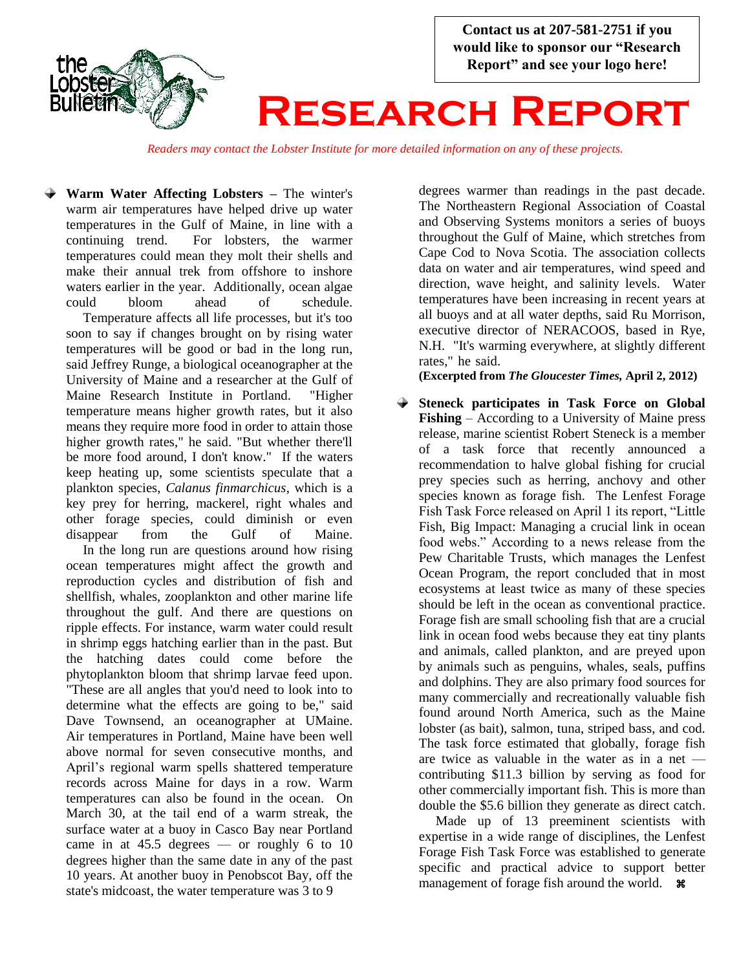

*Readers may contact the Lobster Institute for more detailed information on any of these projects.*

**Warm Water Affecting Lobsters –** The winter's warm air temperatures have helped drive up water temperatures in the Gulf of Maine, in line with a continuing trend. For lobsters, the warmer temperatures could mean they molt their shells and make their annual trek from offshore to inshore waters earlier in the year. Additionally, ocean algae could bloom ahead of schedule.

Temperature affects all life processes, but it's too soon to say if changes brought on by rising water temperatures will be good or bad in the long run, said Jeffrey Runge, a biological oceanographer at the University of Maine and a researcher at the Gulf of Maine Research Institute in Portland. "Higher temperature means higher growth rates, but it also means they require more food in order to attain those higher growth rates," he said. "But whether there'll be more food around, I don't know." If the waters keep heating up, some scientists speculate that a plankton species, *Calanus finmarchicus*, which is a key prey for herring, mackerel, right whales and other forage species, could diminish or even disappear from the Gulf of Maine.

 In the long run are questions around how rising ocean temperatures might affect the growth and reproduction cycles and distribution of fish and shellfish, whales, zooplankton and other marine life throughout the gulf. And there are questions on ripple effects. For instance, warm water could result in shrimp eggs hatching earlier than in the past. But the hatching dates could come before the phytoplankton bloom that shrimp larvae feed upon. "These are all angles that you'd need to look into to determine what the effects are going to be," said Dave Townsend, an oceanographer at UMaine. Air temperatures in Portland, Maine have been well above normal for seven consecutive months, and April's regional warm spells shattered temperature records across Maine for days in a row. Warm temperatures can also be found in the ocean. On March 30, at the tail end of a warm streak, the surface water at a buoy in Casco Bay near Portland came in at  $45.5$  degrees — or roughly 6 to 10 degrees higher than the same date in any of the past 10 years. At another buoy in Penobscot Bay, off the state's midcoast, the water temperature was 3 to 9

degrees warmer than readings in the past decade. The Northeastern Regional Association of Coastal and Observing Systems monitors a series of buoys throughout the Gulf of Maine, which stretches from Cape Cod to Nova Scotia. The association collects data on water and air temperatures, wind speed and direction, wave height, and salinity levels. Water temperatures have been increasing in recent years at all buoys and at all water depths, said Ru Morrison, executive director of NERACOOS, based in Rye, N.H. "It's warming everywhere, at slightly different rates," he said.

**(Excerpted from** *The Gloucester Times,* **April 2, 2012)**

**Steneck participates in Task Force on Global Fishing** – According to a University of Maine press release, marine scientist Robert Steneck is a member of a task force that recently announced a recommendation to halve global fishing for crucial prey species such as herring, anchovy and other species known as forage fish. The Lenfest Forage Fish Task Force released on April 1 its report, "Little Fish, Big Impact: Managing a crucial link in ocean food webs." According to a news release from the Pew Charitable Trusts, which manages the Lenfest Ocean Program, the report concluded that in most ecosystems at least twice as many of these species should be left in the ocean as conventional practice. Forage fish are small schooling fish that are a crucial link in ocean food webs because they eat tiny plants and animals, called plankton, and are preyed upon by animals such as penguins, whales, seals, puffins and dolphins. They are also primary food sources for many commercially and recreationally valuable fish found around North America, such as the Maine lobster (as bait), salmon, tuna, striped bass, and cod. The task force estimated that globally, forage fish are twice as valuable in the water as in a net contributing \$11.3 billion by serving as food for other commercially important fish. This is more than double the \$5.6 billion they generate as direct catch.

 Made up of 13 preeminent scientists with expertise in a wide range of disciplines, the Lenfest Forage Fish Task Force was established to generate specific and practical advice to support better management of forage fish around the world.  $\mathcal{H}$